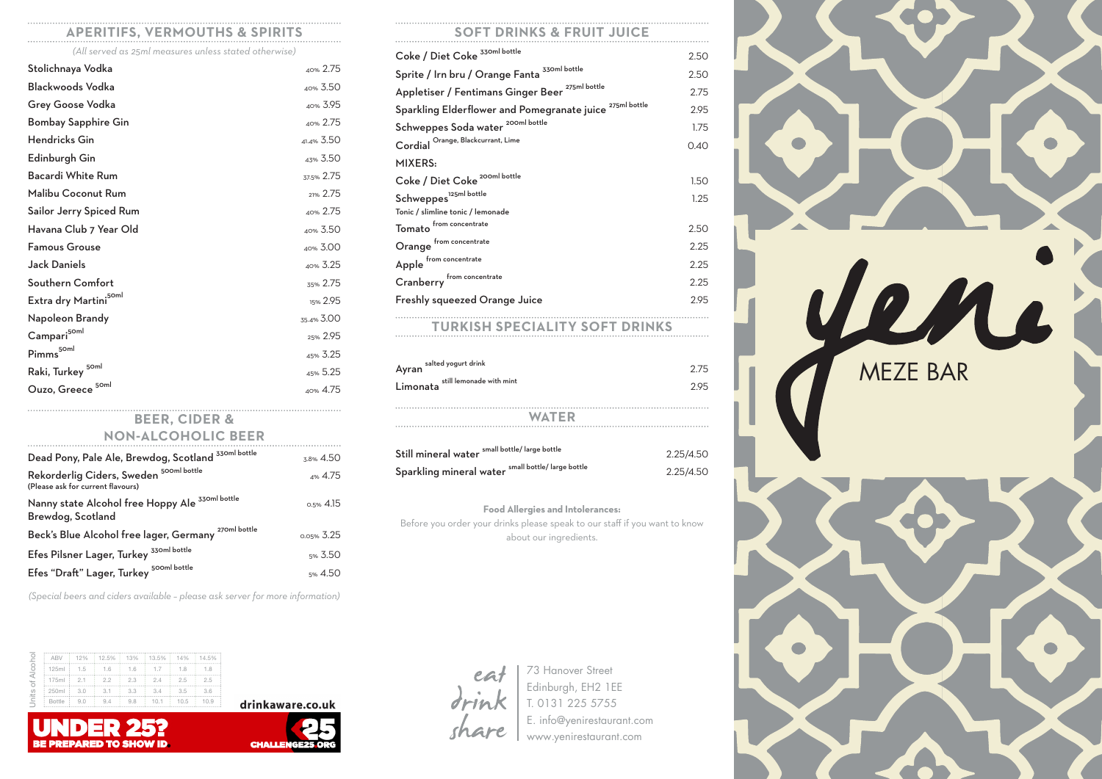## **APERITIFS, VERMOUTHS & SPIRITS**

*(All served as 25ml measures unless stated otherwise)*

| Stolichnaya Vodka                  | 40% 2.75   |
|------------------------------------|------------|
| <b>Blackwoods Vodka</b>            | 40% 3.50   |
| <b>Grey Goose Vodka</b>            | 40% 3.95   |
| <b>Bombay Sapphire Gin</b>         | 40% 2.75   |
| <b>Hendricks Gin</b>               | 41.4% 3.50 |
| Edinburgh Gin                      | 43% 3.50   |
| <b>Bacardi White Rum</b>           | 37.5% 2.75 |
| <b>Malibu Coconut Rum</b>          | 21% 2.75   |
| <b>Sailor Jerry Spiced Rum</b>     | 40% 2.75   |
| Havana Club 7 Year Old             | 40% 3.50   |
| <b>Famous Grouse</b>               | 40% 3.00   |
| <b>Jack Daniels</b>                | 40% 3.25   |
| <b>Southern Comfort</b>            | 35% 2.75   |
| Extra dry Martini <sup>50ml</sup>  | 15% 2.95   |
| Napoleon Brandy                    | 35.4% 3.00 |
| $\mathsf{Campari}^{\mathsf{50ml}}$ | 25% 2.95   |
| Pimms <sup>50ml</sup>              | 45% 3.25   |
| Raki, Turkey <sup>50ml</sup>       | 45% 5.25   |
| 50ml<br>Ouzo, Greece               | 40% 4.75   |
|                                    |            |

#### **BEER, CIDER & NON-ALCOHOLIC BEER**

| Dead Pony, Pale Ale, Brewdog, Scotland <sup>330m  bottle</sup>                          | 3.8% 4.50    |
|-----------------------------------------------------------------------------------------|--------------|
| Rekorderlig Ciders, Sweden <sup>500ml bottle</sup><br>(Please ask for current flavours) | 4% 4.75      |
| 330ml bottle<br>Nanny state Alcohol free Hoppy Ale<br>Brewdog, Scotland                 | $0.5\%$ 4.15 |
| 270ml bottle<br>Beck's Blue Alcohol free lager, Germany                                 | 0.05% 3.25   |
| Efes Pilsner Lager, Turkey <sup>330ml bottle</sup>                                      | 5% 3.50      |
| Efes "Draft" Lager, Turkey <sup>500ml bottle</sup>                                      | 5% 4.50      |

*(Special beers and ciders available – please ask server for more information)*

 $\frac{1}{10.5}$  10.9



| 125ml         | 1.5 | 1.6 | 1.6 | 1.7  | 1.8  | 1.8  |
|---------------|-----|-----|-----|------|------|------|
| 175ml         | 2.1 | 2.2 | 2.3 | 2.4  | 2.5  | 2.5  |
| 250ml         | 3.0 | 3.1 | 3.3 | 3.4  | 3.5  | 3.6  |
| <b>Bottle</b> | 9.0 | 9.4 | 9.8 | 10.1 | 10.5 | 10.9 |

**BE PREPARED TO SHOW ID** 

 $\frac{1}{12\%}$  12.5% 13% 13.5% 14% 14.5%





| Coke / Diet Coke 330ml bottle                                       | 2.50 |
|---------------------------------------------------------------------|------|
| Sprite / Irn bru / Orange Fanta 330ml bottle                        | 2.50 |
| Appletiser / Fentimans Ginger Beer <sup>275ml bottle</sup>          | 2.75 |
| Sparkling Elderflower and Pomegranate juice <sup>275ml bottle</sup> | 2.95 |
| Schweppes Soda water <sup>200ml bottle</sup>                        | 1.75 |
| Cordial Orange, Blackcurrant, Lime                                  | 0.40 |
| <b>MIXERS:</b>                                                      |      |
| Coke / Diet Coke <sup>200ml bottle</sup>                            | 1.50 |
| Schweppes <sup>125ml</sup> bottle                                   | 1.25 |
| Tonic / slimline tonic / lemonade                                   |      |
| from concentrate<br>Tomato                                          | 2.50 |
| from concentrate<br>Orange                                          | 2.25 |
| Apple from concentrate                                              | 2.25 |
| Cranberry from concentrate                                          | 2.25 |
| <b>Freshly squeezed Orange Juice</b>                                | 2.95 |
|                                                                     |      |

# **TURKISH SPECIALITY SOFT DRINKS**

| Ayran salted yogurt drink         | 2.75 |
|-----------------------------------|------|
| Limonata still lemonade with mint | 295  |
| <b>WATER</b>                      |      |
| الملتقط وممط الملحظ المنمد        |      |

| small bottle/ large bottle<br>Still mineral water     | 2.25/4.50 |
|-------------------------------------------------------|-----------|
| small bottle/ large bottle<br>Sparkling mineral water | 2.25/4.50 |

#### **Food Allergies and Intolerances:**

Before you order your drinks please speak to our staff if you want to know about our ingredients.



73 Hanover Street Edinburgh, EH2 1EE T. 0131 225 5755 E. info@yenirestaurant.com www.yenirestaurant.com